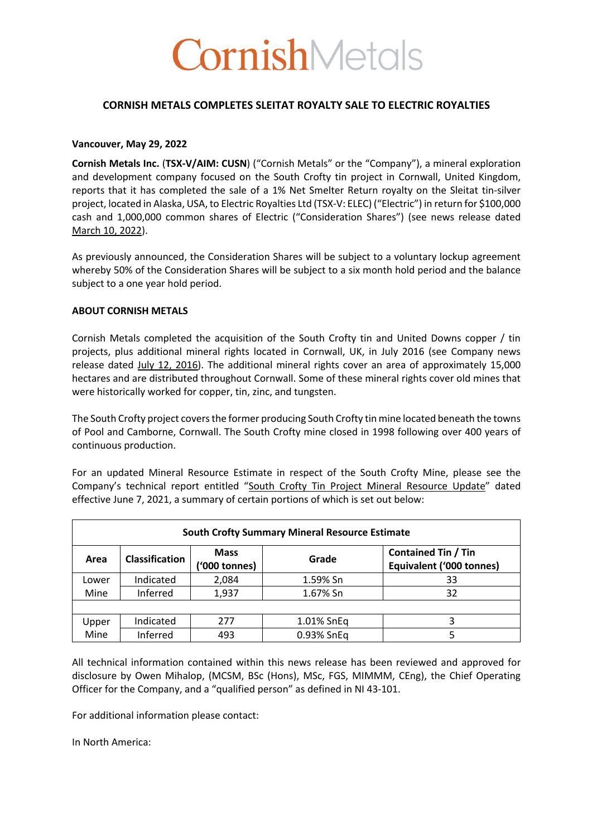# **CornishMetals**

## **CORNISH METALS COMPLETES SLEITAT ROYALTY SALE TO ELECTRIC ROYALTIES**

### **Vancouver, May 29, 2022**

**Cornish Metals Inc.** (**TSX-V/AIM: CUSN**) ("Cornish Metals" or the "Company"), a mineral exploration and development company focused on the South Crofty tin project in Cornwall, United Kingdom, reports that it has completed the sale of a 1% Net Smelter Return royalty on the Sleitat tin-silver project, located in Alaska, USA, to Electric Royalties Ltd (TSX-V: ELEC) ("Electric") in return for \$100,000 cash and 1,000,000 common shares of Electric ("Consideration Shares") (see news release dated March 10, 2022).

As previously announced, the Consideration Shares will be subject to a voluntary lockup agreement whereby 50% of the Consideration Shares will be subject to a six month hold period and the balance subject to a one year hold period.

## **ABOUT CORNISH METALS**

Cornish Metals completed the acquisition of the South Crofty tin and United Downs copper / tin projects, plus additional mineral rights located in Cornwall, UK, in July 2016 (see Company news release dated July 12, 2016). The additional mineral rights cover an area of approximately 15,000 hectares and are distributed throughout Cornwall. Some of these mineral rights cover old mines that were historically worked for copper, tin, zinc, and tungsten.

The South Crofty project covers the former producing South Crofty tin mine located beneath the towns of Pool and Camborne, Cornwall. The South Crofty mine closed in 1998 following over 400 years of continuous production.

For an updated Mineral Resource Estimate in respect of the South Crofty Mine, please see the Company's technical report entitled "South Crofty Tin Project Mineral Resource Update" dated effective June 7, 2021, a summary of certain portions of which is set out below:

| <b>South Crofty Summary Mineral Resource Estimate</b> |                       |                              |            |                                                        |  |  |
|-------------------------------------------------------|-----------------------|------------------------------|------------|--------------------------------------------------------|--|--|
| Area                                                  | <b>Classification</b> | <b>Mass</b><br>('000 tonnes) | Grade      | <b>Contained Tin / Tin</b><br>Equivalent ('000 tonnes) |  |  |
| Lower                                                 | Indicated             | 2,084                        | 1.59% Sn   | 33                                                     |  |  |
| Mine                                                  | Inferred              | 1,937                        | 1.67% Sn   | 32                                                     |  |  |
|                                                       |                       |                              |            |                                                        |  |  |
| Upper                                                 | Indicated             | 277                          | 1.01% SnEq |                                                        |  |  |
| Mine                                                  | Inferred              | 493                          | 0.93% SnEq |                                                        |  |  |

All technical information contained within this news release has been reviewed and approved for disclosure by Owen Mihalop, (MCSM, BSc (Hons), MSc, FGS, MIMMM, CEng), the Chief Operating Officer for the Company, and a "qualified person" as defined in NI 43-101.

For additional information please contact:

In North America: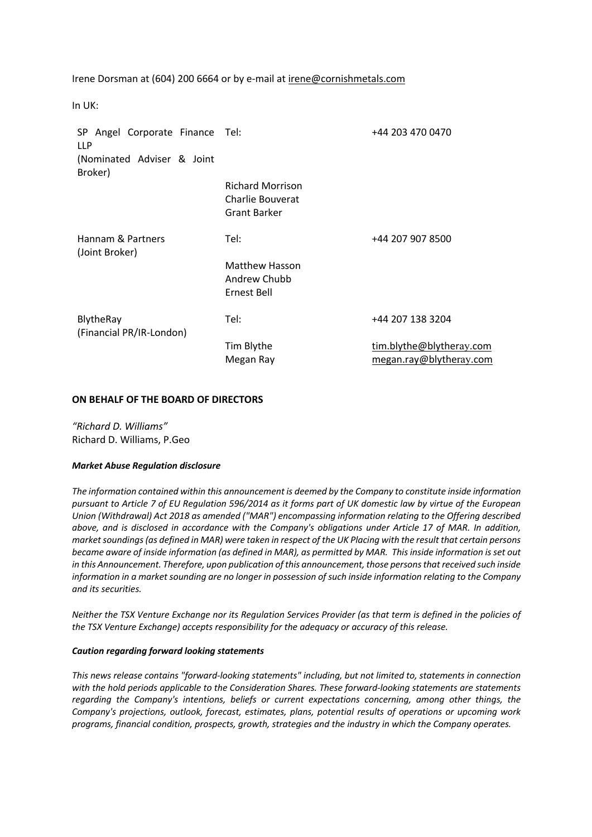Irene Dorsman at (604) 200 6664 or by e-mail at irene@cornishmetals.com

In UK:

| SP Angel Corporate Finance Tel:<br><b>LLP</b> |                                                                    | +44 203 470 0470                                    |
|-----------------------------------------------|--------------------------------------------------------------------|-----------------------------------------------------|
| (Nominated Adviser & Joint<br>Broker)         |                                                                    |                                                     |
|                                               | <b>Richard Morrison</b><br>Charlie Bouverat<br><b>Grant Barker</b> |                                                     |
| Hannam & Partners<br>(Joint Broker)           | Tel:                                                               | +44 207 907 8500                                    |
|                                               | <b>Matthew Hasson</b><br>Andrew Chubb<br>Ernest Bell               |                                                     |
| BlytheRay<br>(Financial PR/IR-London)         | Tel:                                                               | +44 207 138 3204                                    |
|                                               | Tim Blythe<br>Megan Ray                                            | tim.blythe@blytheray.com<br>megan.ray@blytheray.com |

## **ON BEHALF OF THE BOARD OF DIRECTORS**

*"Richard D. Williams"* Richard D. Williams, P.Geo

#### *Market Abuse Regulation disclosure*

*The information contained within this announcement is deemed by the Company to constitute inside information pursuant to Article 7 of EU Regulation 596/2014 as it forms part of UK domestic law by virtue of the European Union (Withdrawal) Act 2018 as amended ("MAR") encompassing information relating to the Offering described above, and is disclosed in accordance with the Company's obligations under Article 17 of MAR. In addition, market soundings (as defined in MAR) were taken in respect of the UK Placing with the result that certain persons became aware of inside information (as defined in MAR), as permitted by MAR. This inside information is set out in this Announcement. Therefore, upon publication of this announcement, those persons that received such inside information in a market sounding are no longer in possession of such inside information relating to the Company and its securities.*

*Neither the TSX Venture Exchange nor its Regulation Services Provider (as that term is defined in the policies of the TSX Venture Exchange) accepts responsibility for the adequacy or accuracy of this release.*

#### *Caution regarding forward looking statements*

*This news release contains "forward-looking statements" including, but not limited to, statements in connection with the hold periods applicable to the Consideration Shares. These forward-looking statements are statements regarding the Company's intentions, beliefs or current expectations concerning, among other things, the Company's projections, outlook, forecast, estimates, plans, potential results of operations or upcoming work programs, financial condition, prospects, growth, strategies and the industry in which the Company operates.*